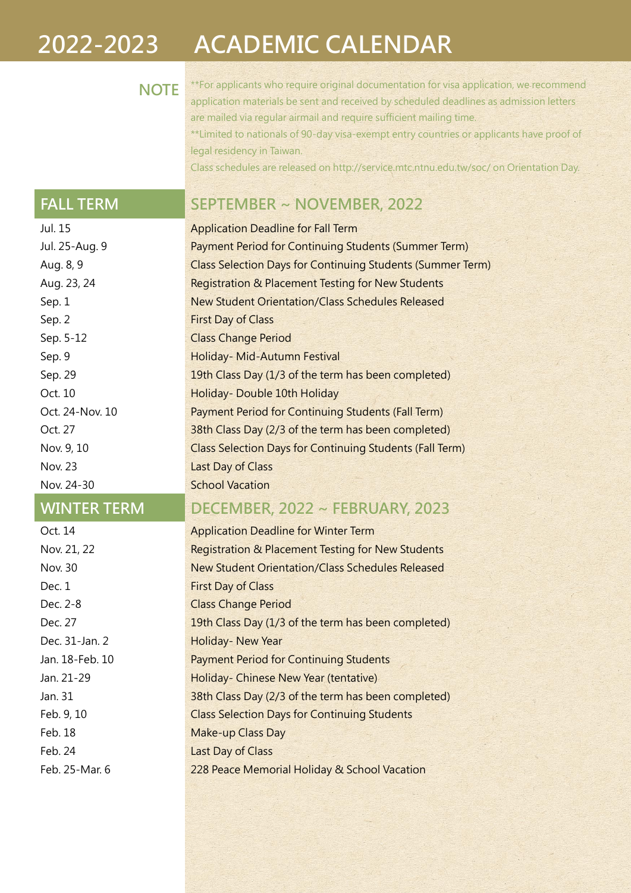## 2022-2023 ACADEMIC CALENDAR

NOTE<sup>\*\*For</sup> applicants who require original documentation for visa application, we recommend application materials be sent and received by scheduled deadlines as admission letters are mailed via regular airmail and require sufficient mailing time. \*\*Limited to nationals of 90-day visa-exempt entry countries or applicants have proof of legal residency in Taiwan. Class schedules are released on http://service.mtc.ntnu.edu.tw/soc/ on Orientation Day.

## FALL TERM SEPTEMBER ~ NOVEMBER, 2022

| Jul. 15            | <b>Application Deadline for Fall Term</b>                         |
|--------------------|-------------------------------------------------------------------|
| Jul. 25-Aug. 9     | Payment Period for Continuing Students (Summer Term)              |
| Aug. 8, 9          | <b>Class Selection Days for Continuing Students (Summer Term)</b> |
| Aug. 23, 24        | <b>Registration &amp; Placement Testing for New Students</b>      |
| Sep. 1             | <b>New Student Orientation/Class Schedules Released</b>           |
| Sep. 2             | <b>First Day of Class</b>                                         |
| Sep. 5-12          | <b>Class Change Period</b>                                        |
| Sep. 9             | Holiday- Mid-Autumn Festival                                      |
| Sep. 29            | 19th Class Day (1/3 of the term has been completed)               |
| Oct. 10            | Holiday-Double 10th Holiday                                       |
| Oct. 24-Nov. 10    | Payment Period for Continuing Students (Fall Term)                |
| Oct. 27            | 38th Class Day (2/3 of the term has been completed)               |
| Nov. 9, 10         | <b>Class Selection Days for Continuing Students (Fall Term)</b>   |
| Nov. 23            | Last Day of Class                                                 |
| Nov. 24-30         | <b>School Vacation</b>                                            |
| <b>WINTER TERM</b> | DECEMBER, 2022 ~ FEBRUARY, 2023                                   |

| Oct. 14         | <b>Application Deadline for Winter Term</b>                  |
|-----------------|--------------------------------------------------------------|
| Nov. 21, 22     | <b>Registration &amp; Placement Testing for New Students</b> |
| Nov. 30         | New Student Orientation/Class Schedules Released             |
| Dec. 1          | <b>First Day of Class</b>                                    |
| Dec. 2-8        | <b>Class Change Period</b>                                   |
| Dec. 27         | 19th Class Day (1/3 of the term has been completed)          |
| Dec. 31-Jan. 2  | <b>Holiday- New Year</b>                                     |
| Jan. 18-Feb. 10 | <b>Payment Period for Continuing Students</b>                |
| Jan. 21-29      | Holiday- Chinese New Year (tentative)                        |
| Jan. 31         | 38th Class Day (2/3 of the term has been completed)          |
| Feb. 9, 10      | <b>Class Selection Days for Continuing Students</b>          |
| Feb. 18         | <b>Make-up Class Day</b>                                     |
| Feb. 24         | <b>Last Day of Class</b>                                     |
| Feb. 25-Mar. 6  | 228 Peace Memorial Holiday & School Vacation                 |
|                 |                                                              |